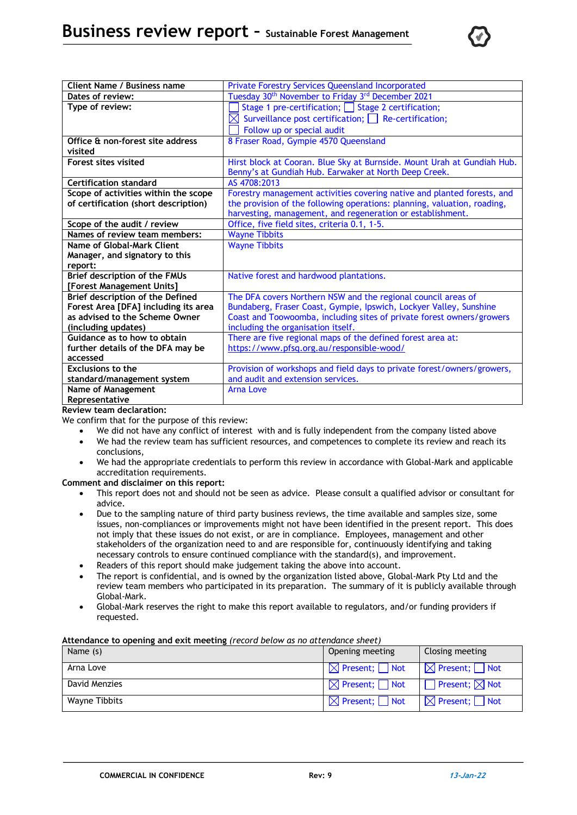

| <b>Client Name / Business name</b>   | <b>Private Forestry Services Queensland Incorporated</b>                  |
|--------------------------------------|---------------------------------------------------------------------------|
| Dates of review:                     | Tuesday 30 <sup>th</sup> November to Friday 3 <sup>rd</sup> December 2021 |
| Type of review:                      | Stage 1 pre-certification; Stage 2 certification;                         |
|                                      | $\boxtimes$ Surveillance post certification; Re-certification;            |
|                                      | Follow up or special audit                                                |
| Office & non-forest site address     | 8 Fraser Road, Gympie 4570 Queensland                                     |
| visited                              |                                                                           |
| <b>Forest sites visited</b>          | Hirst block at Cooran. Blue Sky at Burnside. Mount Urah at Gundiah Hub.   |
|                                      |                                                                           |
|                                      | Benny's at Gundiah Hub. Earwaker at North Deep Creek.                     |
| <b>Certification standard</b>        | AS 4708:2013                                                              |
| Scope of activities within the scope | Forestry management activities covering native and planted forests, and   |
| of certification (short description) | the provision of the following operations: planning, valuation, roading,  |
|                                      | harvesting, management, and regeneration or establishment.                |
| Scope of the audit / review          | Office, five field sites, criteria 0.1, 1-5.                              |
| Names of review team members:        | <b>Wayne Tibbits</b>                                                      |
| Name of Global-Mark Client           | <b>Wayne Tibbits</b>                                                      |
| Manager, and signatory to this       |                                                                           |
| report:                              |                                                                           |
| Brief description of the FMUs        | Native forest and hardwood plantations.                                   |
| [Forest Management Units]            |                                                                           |
| Brief description of the Defined     | The DFA covers Northern NSW and the regional council areas of             |
| Forest Area [DFA] including its area | Bundaberg, Fraser Coast, Gympie, Ipswich, Lockyer Valley, Sunshine        |
| as advised to the Scheme Owner       | Coast and Toowoomba, including sites of private forest owners/growers     |
| (including updates)                  | including the organisation itself.                                        |
| Guidance as to how to obtain         | There are five regional maps of the defined forest area at:               |
| further details of the DFA may be    | https://www.pfsq.org.au/responsible-wood/                                 |
| accessed                             |                                                                           |
| <b>Exclusions to the</b>             | Provision of workshops and field days to private forest/owners/growers,   |
| standard/management system           | and audit and extension services.                                         |
| <b>Name of Management</b>            | <b>Arna Love</b>                                                          |
| Representative                       |                                                                           |

**Review team declaration:**

We confirm that for the purpose of this review:

- We did not have any conflict of interest with and is fully independent from the company listed above
- We had the review team has sufficient resources, and competences to complete its review and reach its conclusions,
- We had the appropriate credentials to perform this review in accordance with Global-Mark and applicable accreditation requirements.

**Comment and disclaimer on this report:**

- This report does not and should not be seen as advice. Please consult a qualified advisor or consultant for advice.
- Due to the sampling nature of third party business reviews, the time available and samples size, some issues, non-compliances or improvements might not have been identified in the present report. This does not imply that these issues do not exist, or are in compliance. Employees, management and other stakeholders of the organization need to and are responsible for, continuously identifying and taking necessary controls to ensure continued compliance with the standard(s), and improvement.
- Readers of this report should make judgement taking the above into account.
- The report is confidential, and is owned by the organization listed above, Global-Mark Pty Ltd and the review team members who participated in its preparation. The summary of it is publicly available through Global-Mark.
- Global-Mark reserves the right to make this report available to regulators, and/or funding providers if requested.

#### **Attendance to opening and exit meeting** *(record below as no attendance sheet)*

| Name (s)      | Opening meeting                      | Closing meeting                      |
|---------------|--------------------------------------|--------------------------------------|
| Arna Love     | $\boxtimes$ Present; $\Box$ Not      | $\boxtimes$ Present; $\Box$ Not      |
| David Menzies | $\boxtimes$ Present; $\Box$ Not      | $\Box$ Present; $\boxtimes$ Not      |
| Wayne Tibbits | $\boxtimes$ Present; $\bigsqcup$ Not | $\boxtimes$ Present; $\bigsqcup$ Not |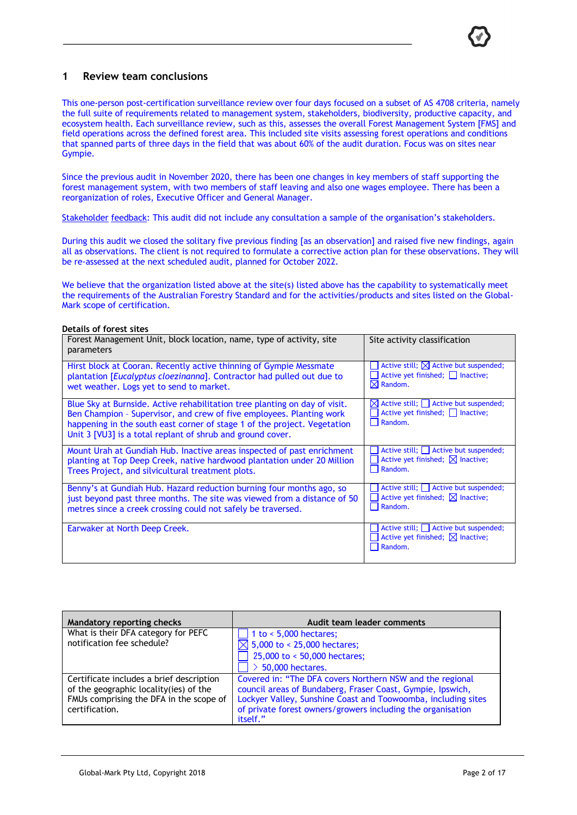### **1 Review team conclusions**

This one-person post-certification surveillance review over four days focused on a subset of AS 4708 criteria, namely the full suite of requirements related to management system, stakeholders, biodiversity, productive capacity, and ecosystem health. Each surveillance review, such as this, assesses the overall Forest Management System [FMS] and field operations across the defined forest area. This included site visits assessing forest operations and conditions that spanned parts of three days in the field that was about 60% of the audit duration. Focus was on sites near Gympie.

Since the previous audit in November 2020, there has been one changes in key members of staff supporting the forest management system, with two members of staff leaving and also one wages employee. There has been a reorganization of roles, Executive Officer and General Manager.

Stakeholder feedback: This audit did not include any consultation a sample of the organisation's stakeholders.

During this audit we closed the solitary five previous finding [as an observation] and raised five new findings, again all as observations. The client is not required to formulate a corrective action plan for these observations. They will be re-assessed at the next scheduled audit, planned for October 2022.

We believe that the organization listed above at the site(s) listed above has the capability to systematically meet the requirements of the Australian Forestry Standard and for the activities/products and sites listed on the Global-Mark scope of certification.

#### **Details of forest sites**

| Forest Management Unit, block location, name, type of activity, site<br>parameters                                                                                                                                                                                                           | Site activity classification                                                                               |
|----------------------------------------------------------------------------------------------------------------------------------------------------------------------------------------------------------------------------------------------------------------------------------------------|------------------------------------------------------------------------------------------------------------|
| Hirst block at Cooran. Recently active thinning of Gympie Messmate<br>plantation [Eucalyptus cloezinanna]. Contractor had pulled out due to<br>wet weather. Logs yet to send to market.                                                                                                      | Active still; $\boxtimes$ Active but suspended;<br>Active yet finished; □ Inactive;<br>$\boxtimes$ Random. |
| Blue Sky at Burnside. Active rehabilitation tree planting on day of visit.<br>Ben Champion - Supervisor, and crew of five employees. Planting work<br>happening in the south east corner of stage 1 of the project. Vegetation<br>Unit 3 [VU3] is a total replant of shrub and ground cover. | $\boxtimes$ Active still; $\Box$ Active but suspended;<br>Active yet finished; Inactive;<br>Random.<br>H   |
| Mount Urah at Gundiah Hub. Inactive areas inspected of past enrichment<br>planting at Top Deep Creek, native hardwood plantation under 20 Million<br>Trees Project, and silvicultural treatment plots.                                                                                       | Active still; Active but suspended;<br>Active yet finished; $\boxtimes$ Inactive;<br>Random.<br>H          |
| Benny's at Gundiah Hub. Hazard reduction burning four months ago, so<br>just beyond past three months. The site was viewed from a distance of 50<br>metres since a creek crossing could not safely be traversed.                                                                             | Active still; Active but suspended;<br>Active yet finished; $\boxtimes$ Inactive;<br>Random.<br>H          |
| Earwaker at North Deep Creek.                                                                                                                                                                                                                                                                | Active still; Active but suspended;<br>Active yet finished; $\boxtimes$ Inactive;<br>Random.               |

| Mandatory reporting checks               | Audit team leader comments                                    |
|------------------------------------------|---------------------------------------------------------------|
| What is their DFA category for PEFC      | $\sqrt{1}$ to < 5,000 hectares;                               |
| notification fee schedule?               | $\boxtimes$ 5,000 to < 25,000 hectares;                       |
|                                          | 25,000 to < 50,000 hectares;                                  |
|                                          | $\geq 50,000$ hectares.                                       |
| Certificate includes a brief description | Covered in: "The DFA covers Northern NSW and the regional     |
| of the geographic locality(ies) of the   | council areas of Bundaberg, Fraser Coast, Gympie, Ipswich,    |
| FMUs comprising the DFA in the scope of  | Lockyer Valley, Sunshine Coast and Toowoomba, including sites |
| certification.                           | of private forest owners/growers including the organisation   |
|                                          | itself."                                                      |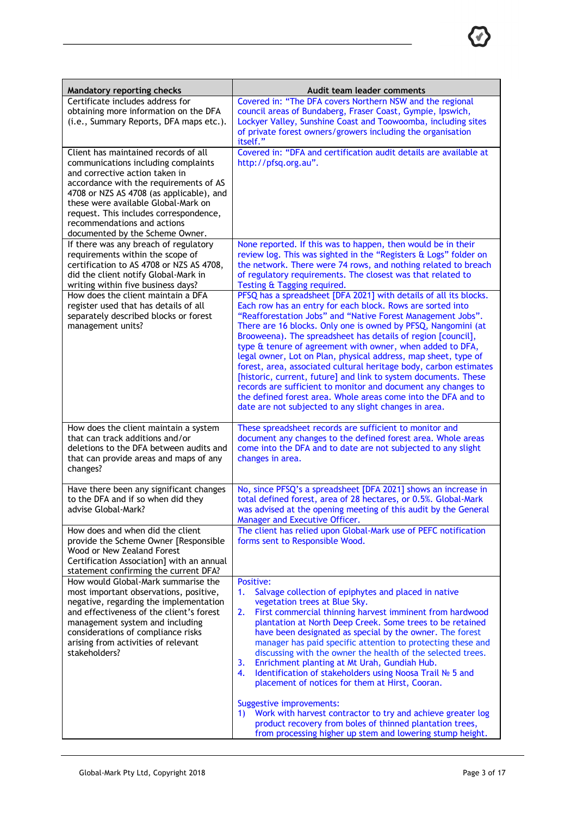| Mandatory reporting checks                                                                                                                                                                                                                                                                                                                                                                      | Audit team leader comments                                                                                                                                                                                                                                                                                                                                                                                                                                                                                                                                                                                                                                                                                                                                                                                                              |
|-------------------------------------------------------------------------------------------------------------------------------------------------------------------------------------------------------------------------------------------------------------------------------------------------------------------------------------------------------------------------------------------------|-----------------------------------------------------------------------------------------------------------------------------------------------------------------------------------------------------------------------------------------------------------------------------------------------------------------------------------------------------------------------------------------------------------------------------------------------------------------------------------------------------------------------------------------------------------------------------------------------------------------------------------------------------------------------------------------------------------------------------------------------------------------------------------------------------------------------------------------|
| Certificate includes address for<br>obtaining more information on the DFA<br>(i.e., Summary Reports, DFA maps etc.).                                                                                                                                                                                                                                                                            | Covered in: "The DFA covers Northern NSW and the regional<br>council areas of Bundaberg, Fraser Coast, Gympie, Ipswich,<br>Lockyer Valley, Sunshine Coast and Toowoomba, including sites<br>of private forest owners/growers including the organisation<br>itself."                                                                                                                                                                                                                                                                                                                                                                                                                                                                                                                                                                     |
| Client has maintained records of all<br>communications including complaints<br>and corrective action taken in<br>accordance with the requirements of AS<br>4708 or NZS AS 4708 (as applicable), and<br>these were available Global-Mark on<br>request. This includes correspondence,<br>recommendations and actions<br>documented by the Scheme Owner.<br>If there was any breach of regulatory | Covered in: "DFA and certification audit details are available at<br>http://pfsq.org.au".<br>None reported. If this was to happen, then would be in their                                                                                                                                                                                                                                                                                                                                                                                                                                                                                                                                                                                                                                                                               |
| requirements within the scope of<br>certification to AS 4708 or NZS AS 4708,<br>did the client notify Global-Mark in<br>writing within five business days?                                                                                                                                                                                                                                      | review log. This was sighted in the "Registers & Logs" folder on<br>the network. There were 74 rows, and nothing related to breach<br>of regulatory requirements. The closest was that related to<br>Testing & Tagging required.                                                                                                                                                                                                                                                                                                                                                                                                                                                                                                                                                                                                        |
| How does the client maintain a DFA<br>register used that has details of all<br>separately described blocks or forest<br>management units?                                                                                                                                                                                                                                                       | PFSQ has a spreadsheet [DFA 2021] with details of all its blocks.<br>Each row has an entry for each block. Rows are sorted into<br>"Reafforestation Jobs" and "Native Forest Management Jobs".<br>There are 16 blocks. Only one is owned by PFSQ, Nangomini (at<br>Brooweena). The spreadsheet has details of region [council],<br>type & tenure of agreement with owner, when added to DFA,<br>legal owner, Lot on Plan, physical address, map sheet, type of<br>forest, area, associated cultural heritage body, carbon estimates<br>[historic, current, future] and link to system documents. These<br>records are sufficient to monitor and document any changes to<br>the defined forest area. Whole areas come into the DFA and to<br>date are not subjected to any slight changes in area.                                       |
| How does the client maintain a system<br>that can track additions and/or<br>deletions to the DFA between audits and<br>that can provide areas and maps of any<br>changes?                                                                                                                                                                                                                       | These spreadsheet records are sufficient to monitor and<br>document any changes to the defined forest area. Whole areas<br>come into the DFA and to date are not subjected to any slight<br>changes in area.                                                                                                                                                                                                                                                                                                                                                                                                                                                                                                                                                                                                                            |
| Have there been any significant changes<br>to the DFA and if so when did they<br>advise Global-Mark?                                                                                                                                                                                                                                                                                            | No, since PFSQ's a spreadsheet [DFA 2021] shows an increase in<br>total defined forest, area of 28 hectares, or 0.5%. Global-Mark<br>was advised at the opening meeting of this audit by the General<br>Manager and Executive Officer.                                                                                                                                                                                                                                                                                                                                                                                                                                                                                                                                                                                                  |
| How does and when did the client<br>provide the Scheme Owner [Responsible<br>Wood or New Zealand Forest<br>Certification Association] with an annual<br>statement confirming the current DFA?                                                                                                                                                                                                   | The client has relied upon Global-Mark use of PEFC notification<br>forms sent to Responsible Wood.                                                                                                                                                                                                                                                                                                                                                                                                                                                                                                                                                                                                                                                                                                                                      |
| How would Global-Mark summarise the<br>most important observations, positive,<br>negative, regarding the implementation<br>and effectiveness of the client's forest<br>management system and including<br>considerations of compliance risks<br>arising from activities of relevant<br>stakeholders?                                                                                            | Positive:<br>Salvage collection of epiphytes and placed in native<br>1.<br>vegetation trees at Blue Sky.<br>First commercial thinning harvest imminent from hardwood<br>2.<br>plantation at North Deep Creek. Some trees to be retained<br>have been designated as special by the owner. The forest<br>manager has paid specific attention to protecting these and<br>discussing with the owner the health of the selected trees.<br>3.<br>Enrichment planting at Mt Urah, Gundiah Hub.<br>Identification of stakeholders using Noosa Trail Nº 5 and<br>4.<br>placement of notices for them at Hirst, Cooran.<br>Suggestive improvements:<br>Work with harvest contractor to try and achieve greater log<br>1)<br>product recovery from boles of thinned plantation trees,<br>from processing higher up stem and lowering stump height. |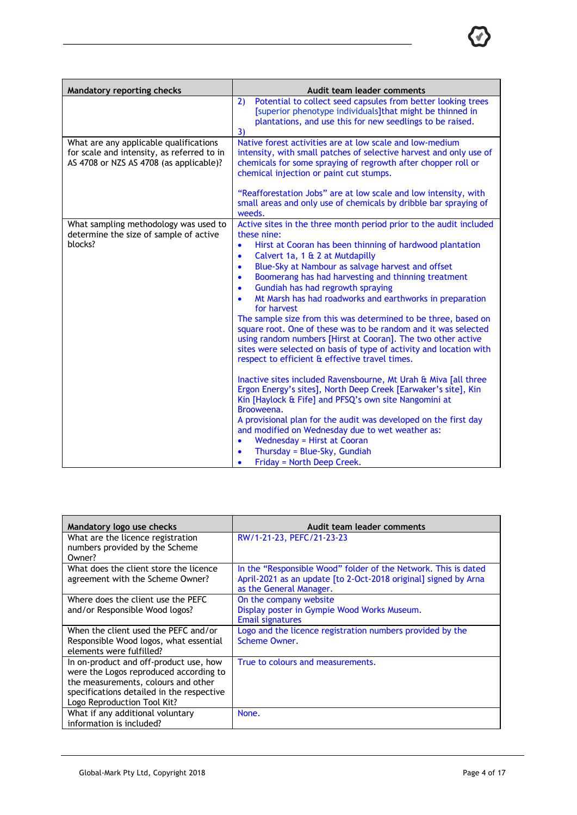| Mandatory reporting checks                                                                                                      | Audit team leader comments                                                                                                                                                                                                                                                                                                                                                                                                                                                                                                                                                                                                                                                                                                                                                                                                                                                                |  |  |
|---------------------------------------------------------------------------------------------------------------------------------|-------------------------------------------------------------------------------------------------------------------------------------------------------------------------------------------------------------------------------------------------------------------------------------------------------------------------------------------------------------------------------------------------------------------------------------------------------------------------------------------------------------------------------------------------------------------------------------------------------------------------------------------------------------------------------------------------------------------------------------------------------------------------------------------------------------------------------------------------------------------------------------------|--|--|
|                                                                                                                                 | Potential to collect seed capsules from better looking trees<br>2)<br>[superior phenotype individuals] that might be thinned in<br>plantations, and use this for new seedlings to be raised.<br>3)                                                                                                                                                                                                                                                                                                                                                                                                                                                                                                                                                                                                                                                                                        |  |  |
| What are any applicable qualifications<br>for scale and intensity, as referred to in<br>AS 4708 or NZS AS 4708 (as applicable)? | Native forest activities are at low scale and low-medium<br>intensity, with small patches of selective harvest and only use of<br>chemicals for some spraying of regrowth after chopper roll or<br>chemical injection or paint cut stumps.                                                                                                                                                                                                                                                                                                                                                                                                                                                                                                                                                                                                                                                |  |  |
|                                                                                                                                 | "Reafforestation Jobs" are at low scale and low intensity, with<br>small areas and only use of chemicals by dribble bar spraying of<br>weeds.                                                                                                                                                                                                                                                                                                                                                                                                                                                                                                                                                                                                                                                                                                                                             |  |  |
| What sampling methodology was used to<br>determine the size of sample of active<br>blocks?                                      | Active sites in the three month period prior to the audit included<br>these nine:<br>Hirst at Cooran has been thinning of hardwood plantation<br>$\bullet$<br>Calvert 1a, 1 & 2 at Mutdapilly<br>$\bullet$<br>Blue-Sky at Nambour as salvage harvest and offset<br>$\bullet$<br>Boomerang has had harvesting and thinning treatment<br>$\bullet$<br>Gundiah has had regrowth spraying<br>$\bullet$<br>Mt Marsh has had roadworks and earthworks in preparation<br>$\bullet$<br>for harvest<br>The sample size from this was determined to be three, based on<br>square root. One of these was to be random and it was selected<br>using random numbers [Hirst at Cooran]. The two other active<br>sites were selected on basis of type of activity and location with<br>respect to efficient & effective travel times.<br>Inactive sites included Ravensbourne, Mt Urah & Miva [all three |  |  |
|                                                                                                                                 | Ergon Energy's sites], North Deep Creek [Earwaker's site], Kin<br>Kin [Haylock & Fife] and PFSQ's own site Nangomini at<br>Brooweena.<br>A provisional plan for the audit was developed on the first day<br>and modified on Wednesday due to wet weather as:<br><b>Wednesday = Hirst at Cooran</b><br>$\bullet$<br>Thursday = Blue-Sky, Gundiah<br>$\bullet$<br>Friday = North Deep Creek.<br>$\bullet$                                                                                                                                                                                                                                                                                                                                                                                                                                                                                   |  |  |

| Mandatory logo use checks                                                                                                                                                                           | Audit team leader comments                                                                                                                                   |
|-----------------------------------------------------------------------------------------------------------------------------------------------------------------------------------------------------|--------------------------------------------------------------------------------------------------------------------------------------------------------------|
| What are the licence registration<br>numbers provided by the Scheme<br>Owner?                                                                                                                       | RW/1-21-23, PEFC/21-23-23                                                                                                                                    |
| What does the client store the licence<br>agreement with the Scheme Owner?                                                                                                                          | In the "Responsible Wood" folder of the Network. This is dated<br>April-2021 as an update [to 2-Oct-2018 original] signed by Arna<br>as the General Manager. |
| Where does the client use the PEFC<br>and/or Responsible Wood logos?                                                                                                                                | On the company website<br>Display poster in Gympie Wood Works Museum.<br>Email signatures                                                                    |
| When the client used the PEFC and/or<br>Responsible Wood logos, what essential<br>elements were fulfilled?                                                                                          | Logo and the licence registration numbers provided by the<br>Scheme Owner.                                                                                   |
| In on-product and off-product use, how<br>were the Logos reproduced according to<br>the measurements, colours and other<br>specifications detailed in the respective<br>Logo Reproduction Tool Kit? | True to colours and measurements.                                                                                                                            |
| What if any additional voluntary<br>information is included?                                                                                                                                        | None.                                                                                                                                                        |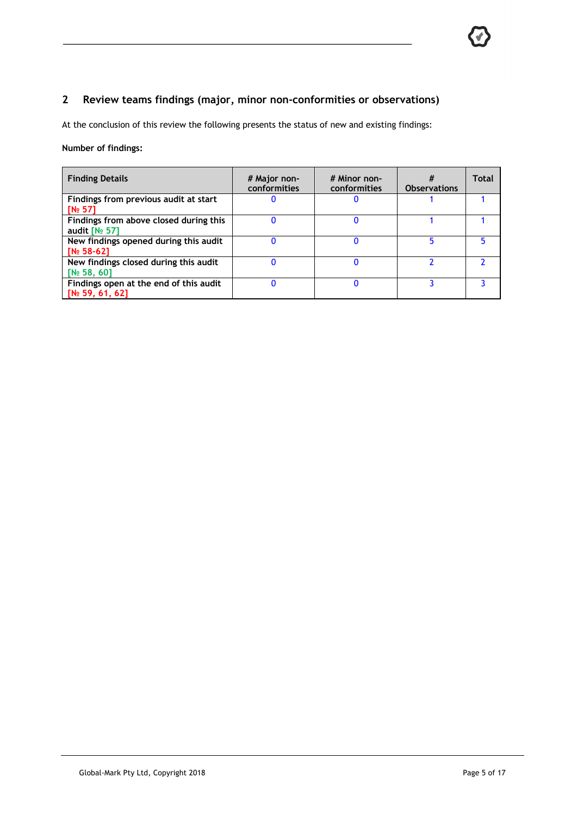## **2 Review teams findings (major, minor non-conformities or observations)**

At the conclusion of this review the following presents the status of new and existing findings:

### **Number of findings:**

| <b>Finding Details</b>                 | # Major non-<br>conformities | # Minor non-<br>conformities | <b>Observations</b> | Total |
|----------------------------------------|------------------------------|------------------------------|---------------------|-------|
| Findings from previous audit at start  |                              |                              |                     |       |
| $N2$ 571                               |                              |                              |                     |       |
| Findings from above closed during this |                              |                              |                     |       |
| audit $N_2$ 571                        |                              |                              |                     |       |
| New findings opened during this audit  |                              |                              |                     |       |
| <b>IN</b> <sup>o</sup> 58-621          |                              |                              |                     |       |
| New findings closed during this audit  |                              |                              |                     |       |
| [N <sub>2</sub> 58, 60]                |                              |                              |                     |       |
| Findings open at the end of this audit |                              |                              |                     |       |
| [N <sub>2</sub> 59, 61, 62]            |                              |                              |                     |       |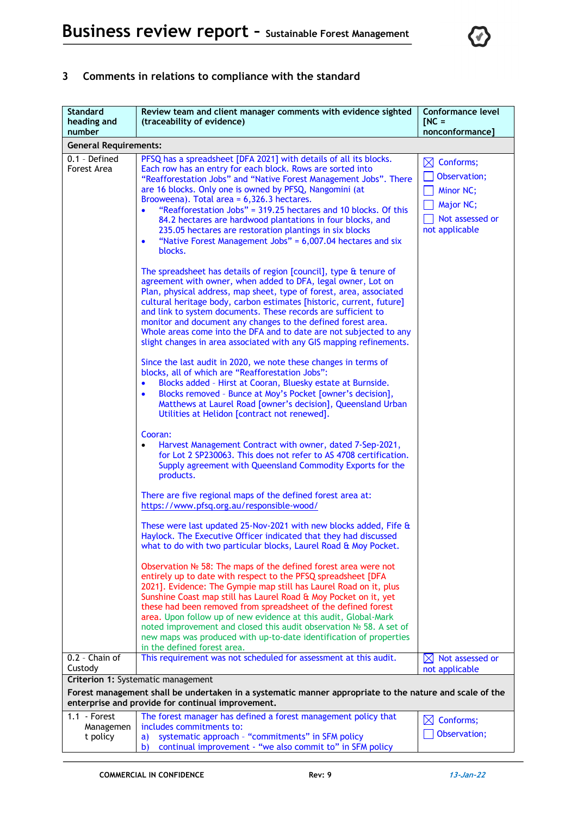

# **3 Comments in relations to compliance with the standard**

| <b>Standard</b><br>heading and<br>number                                                                                                                                                           | Review team and client manager comments with evidence sighted<br>(traceability of evidence)                                                                                                                                                                                                                                                                                                                                                                                                                                                                                                                                       | <b>Conformance level</b><br>$INC =$<br>nonconformance]                                               |
|----------------------------------------------------------------------------------------------------------------------------------------------------------------------------------------------------|-----------------------------------------------------------------------------------------------------------------------------------------------------------------------------------------------------------------------------------------------------------------------------------------------------------------------------------------------------------------------------------------------------------------------------------------------------------------------------------------------------------------------------------------------------------------------------------------------------------------------------------|------------------------------------------------------------------------------------------------------|
| <b>General Requirements:</b>                                                                                                                                                                       |                                                                                                                                                                                                                                                                                                                                                                                                                                                                                                                                                                                                                                   |                                                                                                      |
| 0.1 - Defined<br>Forest Area                                                                                                                                                                       | PFSQ has a spreadsheet [DFA 2021] with details of all its blocks.<br>Each row has an entry for each block. Rows are sorted into<br>"Reafforestation Jobs" and "Native Forest Management Jobs". There<br>are 16 blocks. Only one is owned by PFSQ, Nangomini (at<br>Brooweena). Total area = 6,326.3 hectares.<br>"Reafforestation Jobs" = 319.25 hectares and 10 blocks. Of this<br>$\bullet$<br>84.2 hectares are hardwood plantations in four blocks, and<br>235.05 hectares are restoration plantings in six blocks<br>"Native Forest Management Jobs" = 6,007.04 hectares and six<br>٠<br>blocks.                             | $\boxtimes$ Conforms;<br>Observation;<br>Minor NC;<br>Major NC;<br>Not assessed or<br>not applicable |
|                                                                                                                                                                                                    | The spreadsheet has details of region [council], type & tenure of<br>agreement with owner, when added to DFA, legal owner, Lot on<br>Plan, physical address, map sheet, type of forest, area, associated<br>cultural heritage body, carbon estimates [historic, current, future]<br>and link to system documents. These records are sufficient to<br>monitor and document any changes to the defined forest area.<br>Whole areas come into the DFA and to date are not subjected to any<br>slight changes in area associated with any GIS mapping refinements.<br>Since the last audit in 2020, we note these changes in terms of |                                                                                                      |
|                                                                                                                                                                                                    | blocks, all of which are "Reafforestation Jobs":<br>Blocks added - Hirst at Cooran, Bluesky estate at Burnside.<br>$\bullet$<br>Blocks removed - Bunce at Moy's Pocket [owner's decision],<br>$\bullet$<br>Matthews at Laurel Road [owner's decision], Queensland Urban<br>Utilities at Helidon [contract not renewed].                                                                                                                                                                                                                                                                                                           |                                                                                                      |
|                                                                                                                                                                                                    | Cooran:<br>Harvest Management Contract with owner, dated 7-Sep-2021,<br>$\bullet$<br>for Lot 2 SP230063. This does not refer to AS 4708 certification.<br>Supply agreement with Queensland Commodity Exports for the<br>products.                                                                                                                                                                                                                                                                                                                                                                                                 |                                                                                                      |
|                                                                                                                                                                                                    | There are five regional maps of the defined forest area at:<br>https://www.pfsq.org.au/responsible-wood/                                                                                                                                                                                                                                                                                                                                                                                                                                                                                                                          |                                                                                                      |
|                                                                                                                                                                                                    | These were last updated 25-Nov-2021 with new blocks added, Fife &<br>Haylock. The Executive Officer indicated that they had discussed<br>what to do with two particular blocks, Laurel Road & Moy Pocket.                                                                                                                                                                                                                                                                                                                                                                                                                         |                                                                                                      |
|                                                                                                                                                                                                    | Observation № 58: The maps of the defined forest area were not<br>entirely up to date with respect to the PFSQ spreadsheet [DFA<br>2021]. Evidence: The Gympie map still has Laurel Road on it, plus<br>Sunshine Coast map still has Laurel Road & Moy Pocket on it, yet<br>these had been removed from spreadsheet of the defined forest<br>area. Upon follow up of new evidence at this audit, Global-Mark<br>noted improvement and closed this audit observation Nº 58. A set of<br>new maps was produced with up-to-date identification of properties<br>in the defined forest area.                                          |                                                                                                      |
| 0.2 - Chain of<br>Custody                                                                                                                                                                          | This requirement was not scheduled for assessment at this audit.                                                                                                                                                                                                                                                                                                                                                                                                                                                                                                                                                                  | $\boxtimes$ Not assessed or<br>not applicable                                                        |
| Criterion 1: Systematic management<br>Forest management shall be undertaken in a systematic manner appropriate to the nature and scale of the<br>enterprise and provide for continual improvement. |                                                                                                                                                                                                                                                                                                                                                                                                                                                                                                                                                                                                                                   |                                                                                                      |
| 1.1 Forest<br>Managemen<br>t policy                                                                                                                                                                | The forest manager has defined a forest management policy that<br>includes commitments to:<br>systematic approach - "commitments" in SFM policy<br>a)<br>continual improvement - "we also commit to" in SFM policy<br>b)                                                                                                                                                                                                                                                                                                                                                                                                          | Conforms;<br>$\bowtie$<br>Observation;                                                               |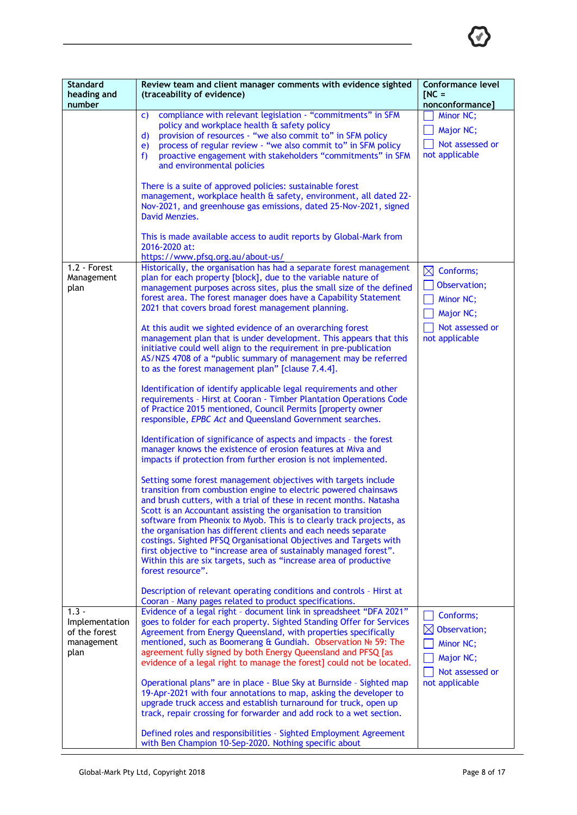

| <b>Standard</b><br>heading and<br>number                         | Review team and client manager comments with evidence sighted<br>(traceability of evidence)                                                                                                                                                                                                                                                                                                                                                                                                                                                                                                                                                                                                                                                                                                                                                                                                                                                                                                                                                                                                                                                                                                                                                                                                                                                                                                                                        | <b>Conformance level</b><br>$INC =$<br>nonconformance]                                               |
|------------------------------------------------------------------|------------------------------------------------------------------------------------------------------------------------------------------------------------------------------------------------------------------------------------------------------------------------------------------------------------------------------------------------------------------------------------------------------------------------------------------------------------------------------------------------------------------------------------------------------------------------------------------------------------------------------------------------------------------------------------------------------------------------------------------------------------------------------------------------------------------------------------------------------------------------------------------------------------------------------------------------------------------------------------------------------------------------------------------------------------------------------------------------------------------------------------------------------------------------------------------------------------------------------------------------------------------------------------------------------------------------------------------------------------------------------------------------------------------------------------|------------------------------------------------------------------------------------------------------|
|                                                                  | compliance with relevant legislation - "commitments" in SFM<br>C)<br>policy and workplace health & safety policy<br>provision of resources - "we also commit to" in SFM policy<br>$\mathbf{d}$<br>process of regular review - "we also commit to" in SFM policy<br>e)<br>proactive engagement with stakeholders "commitments" in SFM<br>f)<br>and environmental policies                                                                                                                                                                                                                                                                                                                                                                                                                                                                                                                                                                                                                                                                                                                                                                                                                                                                                                                                                                                                                                                           | Minor NC;<br>Major NC;<br>Not assessed or<br>not applicable                                          |
|                                                                  | There is a suite of approved policies: sustainable forest<br>management, workplace health & safety, environment, all dated 22-<br>Nov-2021, and greenhouse gas emissions, dated 25-Nov-2021, signed<br>David Menzies.                                                                                                                                                                                                                                                                                                                                                                                                                                                                                                                                                                                                                                                                                                                                                                                                                                                                                                                                                                                                                                                                                                                                                                                                              |                                                                                                      |
|                                                                  | This is made available access to audit reports by Global-Mark from<br>2016-2020 at:<br>https://www.pfsq.org.au/about-us/                                                                                                                                                                                                                                                                                                                                                                                                                                                                                                                                                                                                                                                                                                                                                                                                                                                                                                                                                                                                                                                                                                                                                                                                                                                                                                           |                                                                                                      |
| 1.2 - Forest<br>Management<br>plan                               | Historically, the organisation has had a separate forest management<br>plan for each property [block], due to the variable nature of<br>management purposes across sites, plus the small size of the defined<br>forest area. The forest manager does have a Capability Statement<br>2021 that covers broad forest management planning.<br>At this audit we sighted evidence of an overarching forest<br>management plan that is under development. This appears that this<br>initiative could well align to the requirement in pre-publication<br>AS/NZS 4708 of a "public summary of management may be referred<br>to as the forest management plan" [clause 7.4.4].<br>Identification of identify applicable legal requirements and other<br>requirements - Hirst at Cooran - Timber Plantation Operations Code<br>of Practice 2015 mentioned, Council Permits [property owner<br>responsible, EPBC Act and Queensland Government searches.<br>Identification of significance of aspects and impacts - the forest<br>manager knows the existence of erosion features at Miva and<br>impacts if protection from further erosion is not implemented.<br>Setting some forest management objectives with targets include<br>transition from combustion engine to electric powered chainsaws<br>and brush cutters, with a trial of these in recent months. Natasha<br>Scott is an Accountant assisting the organisation to transition | $\boxtimes$ Conforms;<br>Observation;<br>Minor NC;<br>Major NC;<br>Not assessed or<br>not applicable |
|                                                                  | software from Pheonix to Myob. This is to clearly track projects, as<br>the organisation has different clients and each needs separate<br>costings. Sighted PFSQ Organisational Objectives and Targets with<br>first objective to "increase area of sustainably managed forest".<br>Within this are six targets, such as "increase area of productive<br>forest resource".<br>Description of relevant operating conditions and controls - Hirst at<br>Cooran - Many pages related to product specifications.                                                                                                                                                                                                                                                                                                                                                                                                                                                                                                                                                                                                                                                                                                                                                                                                                                                                                                                       |                                                                                                      |
| $1.3 -$<br>Implementation<br>of the forest<br>management<br>plan | Evidence of a legal right - document link in spreadsheet "DFA 2021"<br>goes to folder for each property. Sighted Standing Offer for Services<br>Agreement from Energy Queensland, with properties specifically<br>mentioned, such as Boomerang & Gundiah. Observation № 59: The<br>agreement fully signed by both Energy Queensland and PFSQ [as<br>evidence of a legal right to manage the forest] could not be located.                                                                                                                                                                                                                                                                                                                                                                                                                                                                                                                                                                                                                                                                                                                                                                                                                                                                                                                                                                                                          | Conforms;<br>$\boxtimes$ Observation;<br>Minor NC;<br>Major NC;<br>Not assessed or                   |
|                                                                  | Operational plans" are in place - Blue Sky at Burnside - Sighted map<br>19-Apr-2021 with four annotations to map, asking the developer to<br>upgrade truck access and establish turnaround for truck, open up<br>track, repair crossing for forwarder and add rock to a wet section.                                                                                                                                                                                                                                                                                                                                                                                                                                                                                                                                                                                                                                                                                                                                                                                                                                                                                                                                                                                                                                                                                                                                               | not applicable                                                                                       |
|                                                                  | Defined roles and responsibilities - Sighted Employment Agreement<br>with Ben Champion 10-Sep-2020. Nothing specific about                                                                                                                                                                                                                                                                                                                                                                                                                                                                                                                                                                                                                                                                                                                                                                                                                                                                                                                                                                                                                                                                                                                                                                                                                                                                                                         |                                                                                                      |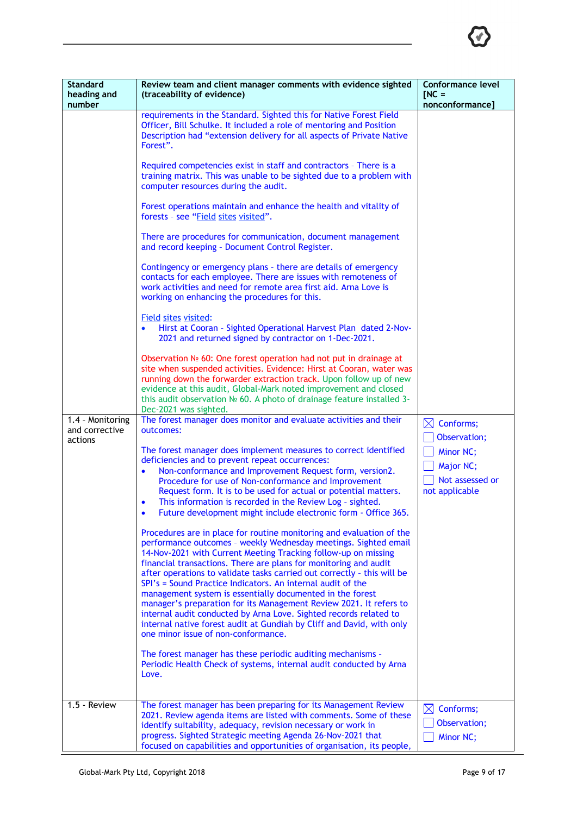

| <b>Standard</b><br>heading and<br>number      | Review team and client manager comments with evidence sighted<br>(traceability of evidence)                                                                                                                                                                                                                                                                                                                                                                                                                                                                                                                                                                                                                                                     | Conformance level<br>$INC =$<br>nonconformance]             |
|-----------------------------------------------|-------------------------------------------------------------------------------------------------------------------------------------------------------------------------------------------------------------------------------------------------------------------------------------------------------------------------------------------------------------------------------------------------------------------------------------------------------------------------------------------------------------------------------------------------------------------------------------------------------------------------------------------------------------------------------------------------------------------------------------------------|-------------------------------------------------------------|
|                                               | requirements in the Standard. Sighted this for Native Forest Field<br>Officer, Bill Schulke. It included a role of mentoring and Position<br>Description had "extension delivery for all aspects of Private Native<br>Forest".                                                                                                                                                                                                                                                                                                                                                                                                                                                                                                                  |                                                             |
|                                               | Required competencies exist in staff and contractors - There is a<br>training matrix. This was unable to be sighted due to a problem with<br>computer resources during the audit.                                                                                                                                                                                                                                                                                                                                                                                                                                                                                                                                                               |                                                             |
|                                               | Forest operations maintain and enhance the health and vitality of<br>forests - see "Field sites visited".                                                                                                                                                                                                                                                                                                                                                                                                                                                                                                                                                                                                                                       |                                                             |
|                                               | There are procedures for communication, document management<br>and record keeping - Document Control Register.                                                                                                                                                                                                                                                                                                                                                                                                                                                                                                                                                                                                                                  |                                                             |
|                                               | Contingency or emergency plans - there are details of emergency<br>contacts for each employee. There are issues with remoteness of<br>work activities and need for remote area first aid. Arna Love is<br>working on enhancing the procedures for this.                                                                                                                                                                                                                                                                                                                                                                                                                                                                                         |                                                             |
|                                               | Field sites visited:<br>Hirst at Cooran - Sighted Operational Harvest Plan dated 2-Nov-<br>2021 and returned signed by contractor on 1-Dec-2021.                                                                                                                                                                                                                                                                                                                                                                                                                                                                                                                                                                                                |                                                             |
|                                               | Observation Nº 60: One forest operation had not put in drainage at<br>site when suspended activities. Evidence: Hirst at Cooran, water was<br>running down the forwarder extraction track. Upon follow up of new<br>evidence at this audit, Global-Mark noted improvement and closed<br>this audit observation Nº 60. A photo of drainage feature installed 3-<br>Dec-2021 was sighted.                                                                                                                                                                                                                                                                                                                                                         |                                                             |
| 1.4 - Monitoring<br>and corrective<br>actions | The forest manager does monitor and evaluate activities and their<br>outcomes:                                                                                                                                                                                                                                                                                                                                                                                                                                                                                                                                                                                                                                                                  | $\boxtimes$ Conforms;<br>Observation;                       |
|                                               | The forest manager does implement measures to correct identified<br>deficiencies and to prevent repeat occurrences:<br>Non-conformance and Improvement Request form, version2.<br>Procedure for use of Non-conformance and Improvement<br>Request form. It is to be used for actual or potential matters.<br>This information is recorded in the Review Log - sighted.<br>$\bullet$<br>Future development might include electronic form - Office 365.                                                                                                                                                                                                                                                                                           | Minor NC;<br>Major NC;<br>Not assessed or<br>not applicable |
|                                               | Procedures are in place for routine monitoring and evaluation of the<br>performance outcomes - weekly Wednesday meetings. Sighted email<br>14-Nov-2021 with Current Meeting Tracking follow-up on missing<br>financial transactions. There are plans for monitoring and audit<br>after operations to validate tasks carried out correctly - this will be<br>SPI's = Sound Practice Indicators. An internal audit of the<br>management system is essentially documented in the forest<br>manager's preparation for its Management Review 2021. It refers to<br>internal audit conducted by Arna Love. Sighted records related to<br>internal native forest audit at Gundiah by Cliff and David, with only<br>one minor issue of non-conformance. |                                                             |
|                                               | The forest manager has these periodic auditing mechanisms -<br>Periodic Health Check of systems, internal audit conducted by Arna<br>Love.                                                                                                                                                                                                                                                                                                                                                                                                                                                                                                                                                                                                      |                                                             |
| 1.5 - Review                                  | The forest manager has been preparing for its Management Review<br>2021. Review agenda items are listed with comments. Some of these                                                                                                                                                                                                                                                                                                                                                                                                                                                                                                                                                                                                            | $\boxtimes$<br>Conforms;                                    |
|                                               | identify suitability, adequacy, revision necessary or work in<br>progress. Sighted Strategic meeting Agenda 26-Nov-2021 that<br>focused on capabilities and opportunities of organisation, its people,                                                                                                                                                                                                                                                                                                                                                                                                                                                                                                                                          | Observation;<br>Minor NC;                                   |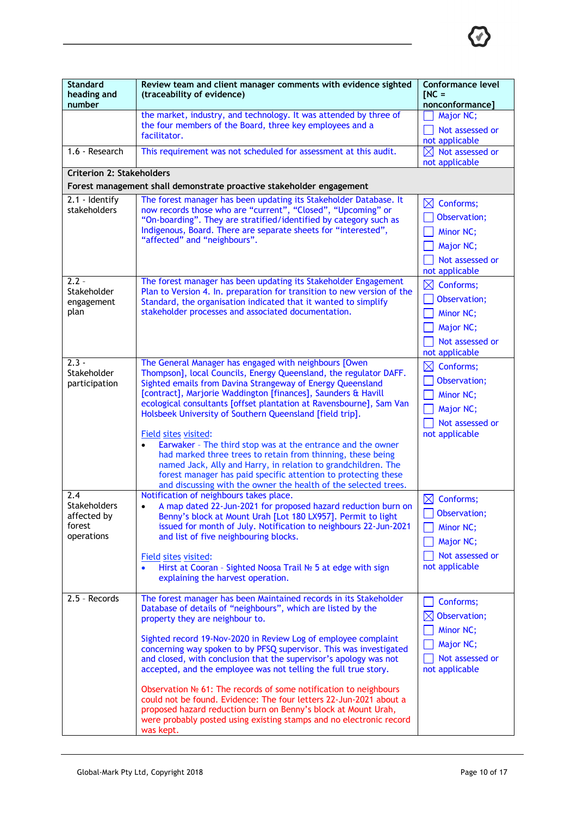

| <b>Standard</b><br>heading and<br>number | Review team and client manager comments with evidence sighted<br>(traceability of evidence)                                                                                                                                                                                                                                                   | Conformance level<br>$INC =$<br>nonconformance]             |
|------------------------------------------|-----------------------------------------------------------------------------------------------------------------------------------------------------------------------------------------------------------------------------------------------------------------------------------------------------------------------------------------------|-------------------------------------------------------------|
|                                          | the market, industry, and technology. It was attended by three of<br>the four members of the Board, three key employees and a                                                                                                                                                                                                                 | Major NC;<br>Not assessed or                                |
|                                          | facilitator.                                                                                                                                                                                                                                                                                                                                  | not applicable                                              |
| 1.6 - Research                           | This requirement was not scheduled for assessment at this audit.                                                                                                                                                                                                                                                                              | $\boxtimes$ Not assessed or<br>not applicable               |
| <b>Criterion 2: Stakeholders</b>         |                                                                                                                                                                                                                                                                                                                                               |                                                             |
|                                          | Forest management shall demonstrate proactive stakeholder engagement                                                                                                                                                                                                                                                                          |                                                             |
| $2.1 -$ Identify<br>stakeholders         | The forest manager has been updating its Stakeholder Database. It<br>now records those who are "current", "Closed", "Upcoming" or<br>"On-boarding". They are stratified/identified by category such as<br>Indigenous, Board. There are separate sheets for "interested",                                                                      | $\boxtimes$<br>Conforms;<br>Observation;                    |
|                                          | "affected" and "neighbours".                                                                                                                                                                                                                                                                                                                  | Minor NC;<br>Major NC;                                      |
|                                          |                                                                                                                                                                                                                                                                                                                                               | Not assessed or                                             |
| $2.2 -$                                  | The forest manager has been updating its Stakeholder Engagement                                                                                                                                                                                                                                                                               | not applicable                                              |
| Stakeholder                              | Plan to Version 4. In. preparation for transition to new version of the                                                                                                                                                                                                                                                                       | $\boxtimes$ Conforms;<br>Observation;                       |
| engagement<br>plan                       | Standard, the organisation indicated that it wanted to simplify<br>stakeholder processes and associated documentation.                                                                                                                                                                                                                        | Minor NC;                                                   |
|                                          |                                                                                                                                                                                                                                                                                                                                               | Major NC;                                                   |
|                                          |                                                                                                                                                                                                                                                                                                                                               | Not assessed or<br>not applicable                           |
| $2.3 -$                                  | The General Manager has engaged with neighbours [Owen                                                                                                                                                                                                                                                                                         | $\boxtimes$<br>Conforms;                                    |
| Stakeholder<br>participation             | Thompson], local Councils, Energy Queensland, the regulator DAFF.<br>Sighted emails from Davina Strangeway of Energy Queensland                                                                                                                                                                                                               | Observation;                                                |
|                                          | [contract], Marjorie Waddington [finances], Saunders & Havill                                                                                                                                                                                                                                                                                 | Minor NC;                                                   |
|                                          | ecological consultants [offset plantation at Ravensbourne], Sam Van<br>Holsbeek University of Southern Queensland [field trip].                                                                                                                                                                                                               | Major NC;                                                   |
|                                          | Field sites visited:                                                                                                                                                                                                                                                                                                                          | Not assessed or<br>not applicable                           |
|                                          | Earwaker - The third stop was at the entrance and the owner<br>$\bullet$<br>had marked three trees to retain from thinning, these being<br>named Jack, Ally and Harry, in relation to grandchildren. The<br>forest manager has paid specific attention to protecting these<br>and discussing with the owner the health of the selected trees. |                                                             |
| 2.4<br>Stakeholders                      | Notification of neighbours takes place.<br>A map dated 22-Jun-2021 for proposed hazard reduction burn on<br>$\bullet$                                                                                                                                                                                                                         | $\boxtimes$<br>Conforms;                                    |
| affected by                              | Benny's block at Mount Urah [Lot 180 LX957]. Permit to light                                                                                                                                                                                                                                                                                  | Observation;                                                |
| forest<br>operations                     | issued for month of July. Notification to neighbours 22-Jun-2021<br>and list of five neighbouring blocks.                                                                                                                                                                                                                                     | Minor NC;                                                   |
|                                          |                                                                                                                                                                                                                                                                                                                                               | Major NC;                                                   |
|                                          | Field sites visited:<br>Hirst at Cooran - Sighted Noosa Trail Nº 5 at edge with sign<br>explaining the harvest operation.                                                                                                                                                                                                                     | Not assessed or<br>not applicable                           |
| 2.5 - Records                            | The forest manager has been Maintained records in its Stakeholder<br>Database of details of "neighbours", which are listed by the<br>property they are neighbour to.                                                                                                                                                                          | Conforms;<br>Observation;<br>$\boxtimes$                    |
|                                          | Sighted record 19-Nov-2020 in Review Log of employee complaint<br>concerning way spoken to by PFSQ supervisor. This was investigated<br>and closed, with conclusion that the supervisor's apology was not<br>accepted, and the employee was not telling the full true story.                                                                  | Minor NC;<br>Major NC;<br>Not assessed or<br>not applicable |
|                                          | Observation $N2$ 61: The records of some notification to neighbours<br>could not be found. Evidence: The four letters 22-Jun-2021 about a<br>proposed hazard reduction burn on Benny's block at Mount Urah,<br>were probably posted using existing stamps and no electronic record<br>was kept.                                               |                                                             |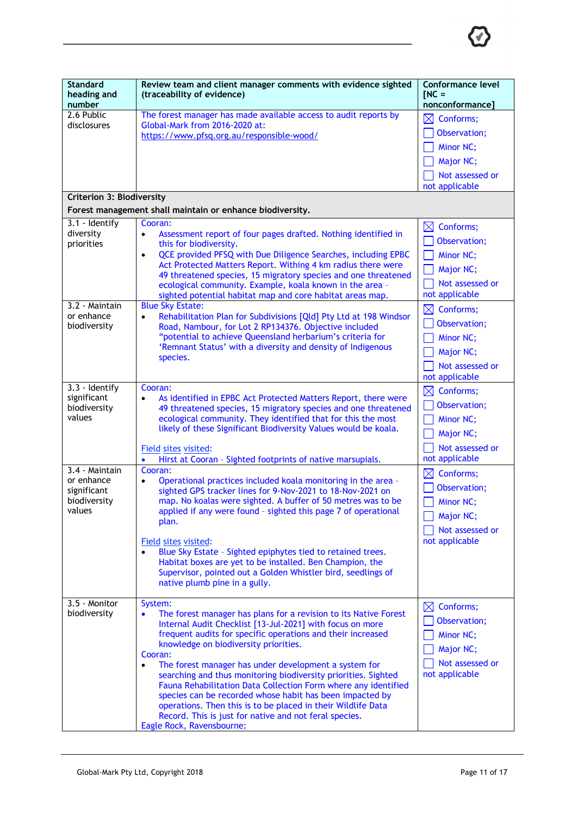

| <b>Standard</b><br>heading and<br>number                                                                                   | Review team and client manager comments with evidence sighted<br>(traceability of evidence)                                                                                                                                                                                                                                                                                                                                                                                                                                                                                                                                                                                                                                                                                                                                                                       | Conformance level<br>$INC =$<br>nonconformance]                                                                                                                                                                                             |
|----------------------------------------------------------------------------------------------------------------------------|-------------------------------------------------------------------------------------------------------------------------------------------------------------------------------------------------------------------------------------------------------------------------------------------------------------------------------------------------------------------------------------------------------------------------------------------------------------------------------------------------------------------------------------------------------------------------------------------------------------------------------------------------------------------------------------------------------------------------------------------------------------------------------------------------------------------------------------------------------------------|---------------------------------------------------------------------------------------------------------------------------------------------------------------------------------------------------------------------------------------------|
| 2.6 Public<br>disclosures                                                                                                  | The forest manager has made available access to audit reports by<br>Global-Mark from 2016-2020 at:<br>https://www.pfsq.org.au/responsible-wood/                                                                                                                                                                                                                                                                                                                                                                                                                                                                                                                                                                                                                                                                                                                   | $\boxtimes$ Conforms;<br>Observation;<br><b>Minor NC:</b><br>Major NC;<br>Not assessed or<br>not applicable                                                                                                                                 |
| <b>Criterion 3: Biodiversity</b>                                                                                           | Forest management shall maintain or enhance biodiversity.                                                                                                                                                                                                                                                                                                                                                                                                                                                                                                                                                                                                                                                                                                                                                                                                         |                                                                                                                                                                                                                                             |
| 3.1 - Identify<br>diversity<br>priorities<br>3.2 - Maintain<br>or enhance<br>biodiversity<br>3.3 - Identify<br>significant | Cooran:<br>Assessment report of four pages drafted. Nothing identified in<br>$\bullet$<br>this for biodiversity.<br>QCE provided PFSQ with Due Diligence Searches, including EPBC<br>$\bullet$<br>Act Protected Matters Report. Withing 4 km radius there were<br>49 threatened species, 15 migratory species and one threatened<br>ecological community. Example, koala known in the area -<br>sighted potential habitat map and core habitat areas map.<br><b>Blue Sky Estate:</b><br>Rehabilitation Plan for Subdivisions [Qld] Pty Ltd at 198 Windsor<br>$\bullet$<br>Road, Nambour, for Lot 2 RP134376. Objective included<br>"potential to achieve Queensland herbarium's criteria for<br>'Remnant Status' with a diversity and density of Indigenous<br>species.<br>Cooran:<br>As identified in EPBC Act Protected Matters Report, there were<br>$\bullet$ | $\boxtimes$ Conforms;<br>Observation;<br>Minor NC;<br>Major NC;<br>Not assessed or<br>not applicable<br>$\boxtimes$<br>Conforms;<br>Observation;<br>Minor NC;<br>Major NC;<br>Not assessed or<br>not applicable<br>$\boxtimes$<br>Conforms; |
| biodiversity<br>values                                                                                                     | 49 threatened species, 15 migratory species and one threatened<br>ecological community. They identified that for this the most<br>likely of these Significant Biodiversity Values would be koala.<br>Field sites visited:<br>Hirst at Cooran - Sighted footprints of native marsupials.<br>$\bullet$                                                                                                                                                                                                                                                                                                                                                                                                                                                                                                                                                              | Observation;<br>Minor NC;<br>Major NC;<br>Not assessed or<br>not applicable                                                                                                                                                                 |
| 3.4 - Maintain<br>or enhance<br>significant<br>biodiversity<br>values                                                      | Cooran:<br>Operational practices included koala monitoring in the area -<br>$\bullet$<br>sighted GPS tracker lines for 9-Nov-2021 to 18-Nov-2021 on<br>map. No koalas were sighted. A buffer of 50 metres was to be<br>applied if any were found - sighted this page 7 of operational<br>plan.<br>Field sites visited:<br>Blue Sky Estate - Sighted epiphytes tied to retained trees.<br>Habitat boxes are yet to be installed. Ben Champion, the<br>Supervisor, pointed out a Golden Whistler bird, seedlings of<br>native plumb pine in a gully.                                                                                                                                                                                                                                                                                                                | $\bowtie$<br>Conforms;<br>Observation;<br>Minor NC;<br>Major NC;<br>Not assessed or<br>not applicable                                                                                                                                       |
| 3.5 - Monitor<br>biodiversity                                                                                              | System:<br>The forest manager has plans for a revision to its Native Forest<br>$\bullet$<br>Internal Audit Checklist [13-Jul-2021] with focus on more<br>frequent audits for specific operations and their increased<br>knowledge on biodiversity priorities.<br>Cooran:<br>The forest manager has under development a system for<br>$\bullet$<br>searching and thus monitoring biodiversity priorities. Sighted<br>Fauna Rehabilitation Data Collection Form where any identified<br>species can be recorded whose habit has been impacted by<br>operations. Then this is to be placed in their Wildlife Data<br>Record. This is just for native and not feral species.<br>Eagle Rock, Ravensbourne:                                                                                                                                                             | $\boxtimes$ Conforms;<br>Observation;<br>Minor NC;<br>Major NC;<br>Not assessed or<br>not applicable                                                                                                                                        |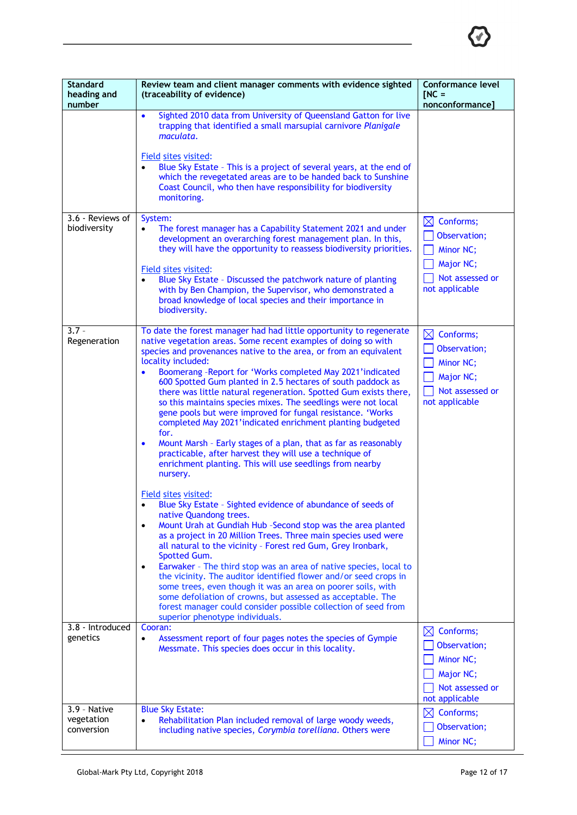

| <b>Standard</b><br>heading and<br>number | Review team and client manager comments with evidence sighted<br>(traceability of evidence)                                                                                                                                                                                                                                                                                                                                                                                                                                                                                                                                                                                                                                                                                                                                                                                                                                                                                                                                                                                                                                                                                                                                                                                                                                                                                                                                                                                                                                                                                              | <b>Conformance level</b><br>$INC =$<br>nonconformance]                                               |
|------------------------------------------|------------------------------------------------------------------------------------------------------------------------------------------------------------------------------------------------------------------------------------------------------------------------------------------------------------------------------------------------------------------------------------------------------------------------------------------------------------------------------------------------------------------------------------------------------------------------------------------------------------------------------------------------------------------------------------------------------------------------------------------------------------------------------------------------------------------------------------------------------------------------------------------------------------------------------------------------------------------------------------------------------------------------------------------------------------------------------------------------------------------------------------------------------------------------------------------------------------------------------------------------------------------------------------------------------------------------------------------------------------------------------------------------------------------------------------------------------------------------------------------------------------------------------------------------------------------------------------------|------------------------------------------------------------------------------------------------------|
|                                          | Sighted 2010 data from University of Queensland Gatton for live<br>$\bullet$<br>trapping that identified a small marsupial carnivore Planigale<br>maculata.<br>Field sites visited:<br>Blue Sky Estate - This is a project of several years, at the end of<br>which the revegetated areas are to be handed back to Sunshine<br>Coast Council, who then have responsibility for biodiversity<br>monitoring.                                                                                                                                                                                                                                                                                                                                                                                                                                                                                                                                                                                                                                                                                                                                                                                                                                                                                                                                                                                                                                                                                                                                                                               |                                                                                                      |
| 3.6 - Reviews of<br>biodiversity         | System:<br>The forest manager has a Capability Statement 2021 and under<br>$\bullet$<br>development an overarching forest management plan. In this,<br>they will have the opportunity to reassess biodiversity priorities.<br><b>Field sites visited:</b><br>Blue Sky Estate - Discussed the patchwork nature of planting<br>with by Ben Champion, the Supervisor, who demonstrated a<br>broad knowledge of local species and their importance in<br>biodiversity.                                                                                                                                                                                                                                                                                                                                                                                                                                                                                                                                                                                                                                                                                                                                                                                                                                                                                                                                                                                                                                                                                                                       | $\boxtimes$ Conforms;<br>Observation;<br>Minor NC;<br>Major NC;<br>Not assessed or<br>not applicable |
| $3.7 -$<br>Regeneration                  | To date the forest manager had had little opportunity to regenerate<br>native vegetation areas. Some recent examples of doing so with<br>species and provenances native to the area, or from an equivalent<br>locality included:<br>Boomerang -Report for 'Works completed May 2021'indicated<br>600 Spotted Gum planted in 2.5 hectares of south paddock as<br>there was little natural regeneration. Spotted Gum exists there,<br>so this maintains species mixes. The seedlings were not local<br>gene pools but were improved for fungal resistance. 'Works<br>completed May 2021'indicated enrichment planting budgeted<br>for.<br>Mount Marsh - Early stages of a plan, that as far as reasonably<br>$\bullet$<br>practicable, after harvest they will use a technique of<br>enrichment planting. This will use seedlings from nearby<br>nursery.<br>Field sites visited:<br>Blue Sky Estate - Sighted evidence of abundance of seeds of<br>native Quandong trees.<br>Mount Urah at Gundiah Hub -Second stop was the area planted<br>$\bullet$<br>as a project in 20 Million Trees. Three main species used were<br>all natural to the vicinity - Forest red Gum, Grey Ironbark,<br>Spotted Gum.<br>Earwaker - The third stop was an area of native species, local to<br>٠<br>the vicinity. The auditor identified flower and/or seed crops in<br>some trees, even though it was an area on poorer soils, with<br>some defoliation of crowns, but assessed as acceptable. The<br>forest manager could consider possible collection of seed from<br>superior phenotype individuals. | $\boxtimes$ Conforms;<br>Observation;<br>Minor NC;<br>Major NC;<br>Not assessed or<br>not applicable |
| 3.8 - Introduced<br>genetics             | Cooran:<br>Assessment report of four pages notes the species of Gympie<br>Messmate. This species does occur in this locality.                                                                                                                                                                                                                                                                                                                                                                                                                                                                                                                                                                                                                                                                                                                                                                                                                                                                                                                                                                                                                                                                                                                                                                                                                                                                                                                                                                                                                                                            | $\boxtimes$ Conforms;<br>Observation;<br>Minor NC;<br>Major NC;<br>Not assessed or<br>not applicable |
| 3.9 - Native<br>vegetation<br>conversion | <b>Blue Sky Estate:</b><br>Rehabilitation Plan included removal of large woody weeds,<br>including native species, Corymbia torelliana. Others were                                                                                                                                                                                                                                                                                                                                                                                                                                                                                                                                                                                                                                                                                                                                                                                                                                                                                                                                                                                                                                                                                                                                                                                                                                                                                                                                                                                                                                      | $\boxtimes$ Conforms;<br>Observation;<br>Minor NC;                                                   |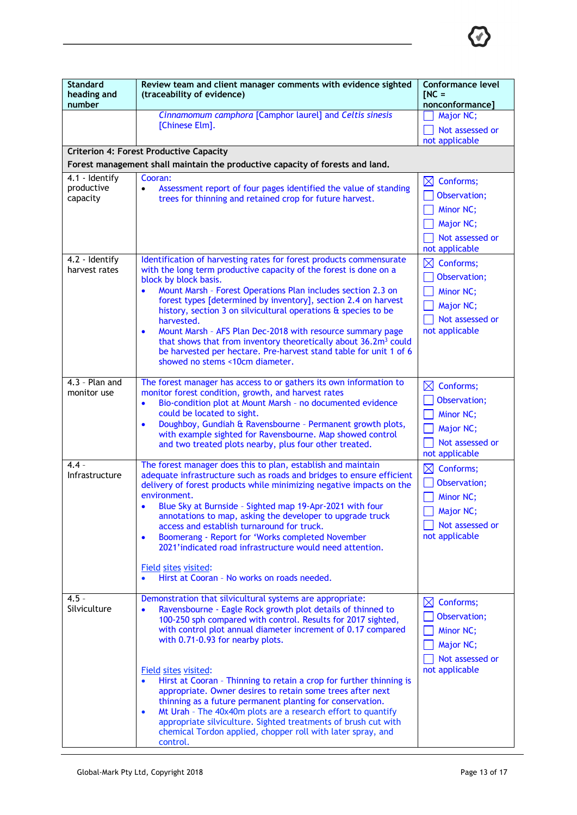

| <b>Standard</b><br>heading and<br>number | Review team and client manager comments with evidence sighted<br>(traceability of evidence)                                                                                                                                                                                                                                                                                                                                                                                                                                                                                                                                                                                                                                                                          | Conformance level<br>$INC =$<br>nonconformance]                                                                               |
|------------------------------------------|----------------------------------------------------------------------------------------------------------------------------------------------------------------------------------------------------------------------------------------------------------------------------------------------------------------------------------------------------------------------------------------------------------------------------------------------------------------------------------------------------------------------------------------------------------------------------------------------------------------------------------------------------------------------------------------------------------------------------------------------------------------------|-------------------------------------------------------------------------------------------------------------------------------|
|                                          | Cinnamomum camphora [Camphor laurel] and Celtis sinesis<br>[Chinese Elm].                                                                                                                                                                                                                                                                                                                                                                                                                                                                                                                                                                                                                                                                                            | Major NC;<br>Not assessed or<br>not applicable                                                                                |
|                                          | <b>Criterion 4: Forest Productive Capacity</b>                                                                                                                                                                                                                                                                                                                                                                                                                                                                                                                                                                                                                                                                                                                       |                                                                                                                               |
|                                          | Forest management shall maintain the productive capacity of forests and land.                                                                                                                                                                                                                                                                                                                                                                                                                                                                                                                                                                                                                                                                                        |                                                                                                                               |
| 4.1 - Identify<br>productive<br>capacity | Cooran:<br>Assessment report of four pages identified the value of standing<br>$\bullet$<br>trees for thinning and retained crop for future harvest.                                                                                                                                                                                                                                                                                                                                                                                                                                                                                                                                                                                                                 | $\boxtimes$<br>Conforms;<br>Observation;<br>Minor NC;<br>Major NC;<br>Not assessed or<br>not applicable                       |
| 4.2 - Identify<br>harvest rates          | Identification of harvesting rates for forest products commensurate<br>with the long term productive capacity of the forest is done on a<br>block by block basis.<br>Mount Marsh - Forest Operations Plan includes section 2.3 on<br>$\bullet$<br>forest types [determined by inventory], section 2.4 on harvest<br>history, section 3 on silvicultural operations & species to be<br>harvested.<br>Mount Marsh - AFS Plan Dec-2018 with resource summary page<br>$\bullet$<br>that shows that from inventory theoretically about 36.2m <sup>3</sup> could<br>be harvested per hectare. Pre-harvest stand table for unit 1 of 6<br>showed no stems <10cm diameter.                                                                                                   | Conforms;<br>$\bowtie$<br>Observation;<br>Minor NC;<br>Major NC;<br>Not assessed or<br>not applicable                         |
| $4.3$ - Plan and<br>monitor use          | The forest manager has access to or gathers its own information to<br>monitor forest condition, growth, and harvest rates<br>Bio-condition plot at Mount Marsh - no documented evidence<br>$\bullet$<br>could be located to sight.<br>Doughboy, Gundiah & Ravensbourne - Permanent growth plots,<br>$\bullet$<br>with example sighted for Ravensbourne. Map showed control<br>and two treated plots nearby, plus four other treated.                                                                                                                                                                                                                                                                                                                                 | $\boxtimes$ Conforms;<br>Observation;<br>Minor NC;<br>Major NC;<br>Not assessed or<br>not applicable                          |
| $4.4 -$<br>Infrastructure                | The forest manager does this to plan, establish and maintain<br>adequate infrastructure such as roads and bridges to ensure efficient<br>delivery of forest products while minimizing negative impacts on the<br>environment.<br>Blue Sky at Burnside - Sighted map 19-Apr-2021 with four<br>annotations to map, asking the developer to upgrade truck<br>access and establish turnaround for truck.<br>Boomerang - Report for 'Works completed November<br>$\bullet$<br>2021'indicated road infrastructure would need attention.<br>Field sites visited:<br>Hirst at Cooran - No works on roads needed.                                                                                                                                                             | $\boxtimes$<br>Conforms;<br>Observation;<br>Minor NC;<br>$\boxed{\phantom{1}}$ Major NC;<br>Not assessed or<br>not applicable |
| $4.5 -$<br>Silviculture                  | Demonstration that silvicultural systems are appropriate:<br>Ravensbourne - Eagle Rock growth plot details of thinned to<br>$\bullet$<br>100-250 sph compared with control. Results for 2017 sighted,<br>with control plot annual diameter increment of 0.17 compared<br>with 0.71-0.93 for nearby plots.<br><b>Field sites visited:</b><br>Hirst at Cooran - Thinning to retain a crop for further thinning is<br>appropriate. Owner desires to retain some trees after next<br>thinning as a future permanent planting for conservation.<br>Mt Urah - The 40x40m plots are a research effort to quantify<br>$\bullet$<br>appropriate silviculture. Sighted treatments of brush cut with<br>chemical Tordon applied, chopper roll with later spray, and<br>control. | $\boxtimes$ Conforms;<br>Observation;<br>Minor NC;<br>Major NC;<br>Not assessed or<br>not applicable                          |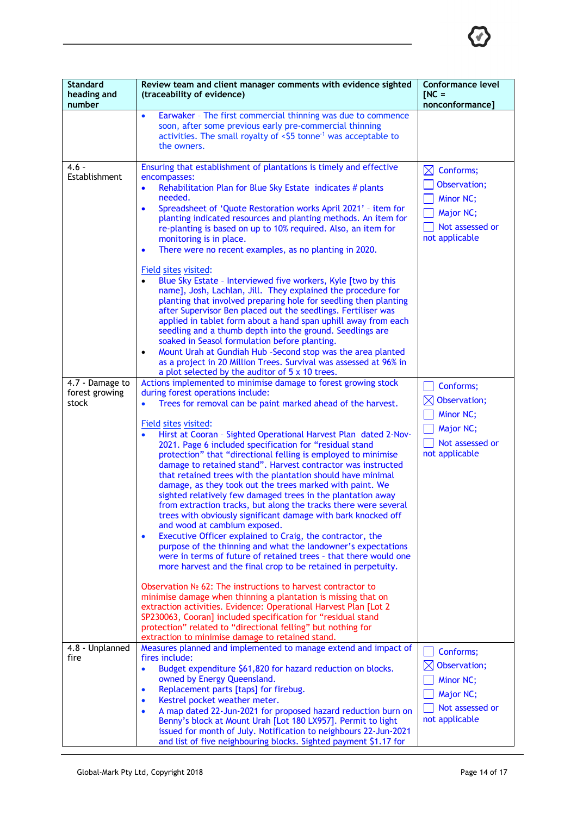

| <b>Standard</b><br>heading and<br>number   | Review team and client manager comments with evidence sighted<br>(traceability of evidence)                                                                                                                                                                                                                                                                                                                                                                                                                                                                                                                                                                                                                                                                                                                                                                                                                                                                                                                                                                                                                                                                                                                                                                                                                                                                                                                                                                                                                                                                      | <b>Conformance level</b><br>$INC =$<br>nonconformance]                                               |
|--------------------------------------------|------------------------------------------------------------------------------------------------------------------------------------------------------------------------------------------------------------------------------------------------------------------------------------------------------------------------------------------------------------------------------------------------------------------------------------------------------------------------------------------------------------------------------------------------------------------------------------------------------------------------------------------------------------------------------------------------------------------------------------------------------------------------------------------------------------------------------------------------------------------------------------------------------------------------------------------------------------------------------------------------------------------------------------------------------------------------------------------------------------------------------------------------------------------------------------------------------------------------------------------------------------------------------------------------------------------------------------------------------------------------------------------------------------------------------------------------------------------------------------------------------------------------------------------------------------------|------------------------------------------------------------------------------------------------------|
|                                            | Earwaker - The first commercial thinning was due to commence<br>$\bullet$<br>soon, after some previous early pre-commercial thinning<br>activities. The small royalty of $\leq$ 5 tonne <sup>-1</sup> was acceptable to<br>the owners.                                                                                                                                                                                                                                                                                                                                                                                                                                                                                                                                                                                                                                                                                                                                                                                                                                                                                                                                                                                                                                                                                                                                                                                                                                                                                                                           |                                                                                                      |
| $4.6 -$<br>Establishment                   | Ensuring that establishment of plantations is timely and effective<br>encompasses:<br>Rehabilitation Plan for Blue Sky Estate indicates # plants<br>$\bullet$<br>needed.<br>Spreadsheet of 'Quote Restoration works April 2021' - item for<br>$\bullet$<br>planting indicated resources and planting methods. An item for<br>re-planting is based on up to 10% required. Also, an item for<br>monitoring is in place.<br>There were no recent examples, as no planting in 2020.<br>٠<br>Field sites visited:<br>Blue Sky Estate - Interviewed five workers, Kyle [two by this<br>$\bullet$<br>name], Josh, Lachlan, Jill. They explained the procedure for<br>planting that involved preparing hole for seedling then planting<br>after Supervisor Ben placed out the seedlings. Fertiliser was<br>applied in tablet form about a hand span uphill away from each<br>seedling and a thumb depth into the ground. Seedlings are<br>soaked in Seasol formulation before planting.<br>Mount Urah at Gundiah Hub -Second stop was the area planted<br>$\bullet$<br>as a project in 20 Million Trees. Survival was assessed at 96% in                                                                                                                                                                                                                                                                                                                                                                                                                                 | $\boxtimes$ Conforms;<br>Observation;<br>Minor NC;<br>Major NC;<br>Not assessed or<br>not applicable |
| 4.7 - Damage to<br>forest growing<br>stock | a plot selected by the auditor of 5 x 10 trees.<br>Actions implemented to minimise damage to forest growing stock<br>during forest operations include:<br>Trees for removal can be paint marked ahead of the harvest.<br>$\bullet$<br>Field sites visited:<br>Hirst at Cooran - Sighted Operational Harvest Plan dated 2-Nov-<br>2021. Page 6 included specification for "residual stand<br>protection" that "directional felling is employed to minimise<br>damage to retained stand". Harvest contractor was instructed<br>that retained trees with the plantation should have minimal<br>damage, as they took out the trees marked with paint. We<br>sighted relatively few damaged trees in the plantation away<br>from extraction tracks, but along the tracks there were several<br>trees with obviously significant damage with bark knocked off<br>and wood at cambium exposed.<br>Executive Officer explained to Craig, the contractor, the<br>$\bullet$<br>purpose of the thinning and what the landowner's expectations<br>were in terms of future of retained trees - that there would one<br>more harvest and the final crop to be retained in perpetuity.<br>Observation Nº 62: The instructions to harvest contractor to<br>minimise damage when thinning a plantation is missing that on<br>extraction activities. Evidence: Operational Harvest Plan [Lot 2<br>SP230063, Cooran] included specification for "residual stand<br>protection" related to "directional felling" but nothing for<br>extraction to minimise damage to retained stand. | Conforms;<br>Observation;<br>Minor NC;<br>Major NC;<br>Not assessed or<br>not applicable             |
| 4.8 - Unplanned<br>fire                    | Measures planned and implemented to manage extend and impact of<br>fires include:<br>Budget expenditure \$61,820 for hazard reduction on blocks.<br>$\bullet$<br>owned by Energy Queensland.<br>Replacement parts [taps] for firebug.<br>$\bullet$<br>Kestrel pocket weather meter.<br>$\bullet$<br>A map dated 22-Jun-2021 for proposed hazard reduction burn on<br>$\bullet$<br>Benny's block at Mount Urah [Lot 180 LX957]. Permit to light<br>issued for month of July. Notification to neighbours 22-Jun-2021<br>and list of five neighbouring blocks. Sighted payment \$1.17 for                                                                                                                                                                                                                                                                                                                                                                                                                                                                                                                                                                                                                                                                                                                                                                                                                                                                                                                                                                           | Conforms;<br>$\boxtimes$ Observation;<br>Minor NC;<br>Major NC;<br>Not assessed or<br>not applicable |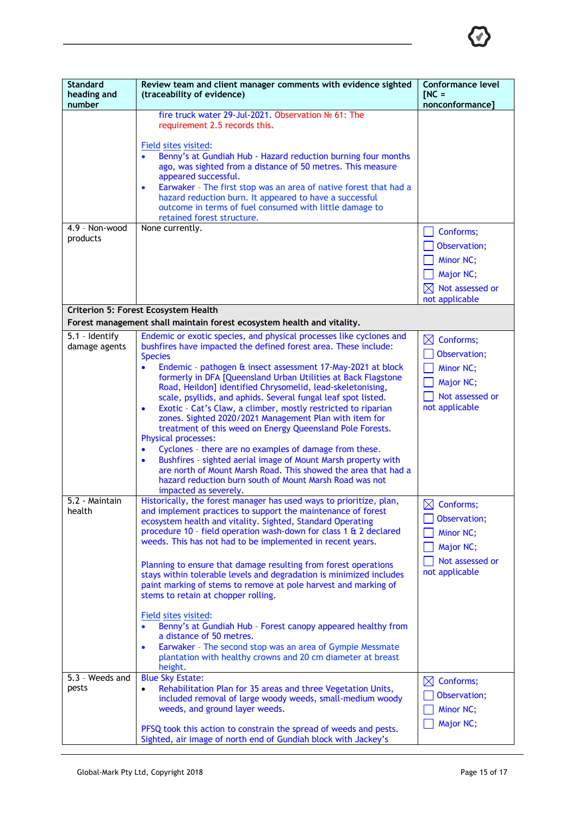

| <b>Standard</b><br>heading and<br>number | Review team and client manager comments with evidence sighted<br>(traceability of evidence)                                                                                                                                                                                                                                                                                                                                                                                                                                                                                                                                                                                                                                                                                                                                                                                                                                                                                        | Conformance level<br>$INC =$<br>nonconformance]                                                      |
|------------------------------------------|------------------------------------------------------------------------------------------------------------------------------------------------------------------------------------------------------------------------------------------------------------------------------------------------------------------------------------------------------------------------------------------------------------------------------------------------------------------------------------------------------------------------------------------------------------------------------------------------------------------------------------------------------------------------------------------------------------------------------------------------------------------------------------------------------------------------------------------------------------------------------------------------------------------------------------------------------------------------------------|------------------------------------------------------------------------------------------------------|
| 4.9 - Non-wood                           | fire truck water 29-Jul-2021. Observation Nº 61: The<br>requirement 2.5 records this.<br>Field sites visited:<br>Benny's at Gundiah Hub - Hazard reduction burning four months<br>ago, was sighted from a distance of 50 metres. This measure<br>appeared successful.<br>Earwaker - The first stop was an area of native forest that had a<br>$\bullet$<br>hazard reduction burn. It appeared to have a successful<br>outcome in terms of fuel consumed with little damage to<br>retained forest structure.<br>None currently.                                                                                                                                                                                                                                                                                                                                                                                                                                                     | Conforms;                                                                                            |
| products                                 | Criterion 5: Forest Ecosystem Health                                                                                                                                                                                                                                                                                                                                                                                                                                                                                                                                                                                                                                                                                                                                                                                                                                                                                                                                               | Observation;<br>Minor NC;<br>Major NC;<br>Not assessed or<br>IXI<br>not applicable                   |
|                                          | Forest management shall maintain forest ecosystem health and vitality.                                                                                                                                                                                                                                                                                                                                                                                                                                                                                                                                                                                                                                                                                                                                                                                                                                                                                                             |                                                                                                      |
| 5.1 - Identify<br>damage agents          | Endemic or exotic species, and physical processes like cyclones and<br>bushfires have impacted the defined forest area. These include:<br><b>Species</b><br>Endemic - pathogen & insect assessment 17-May-2021 at block<br>$\bullet$<br>formerly in DFA [Queensland Urban Utilities at Back Flagstone<br>Road, Heildon] identified Chrysomelid, lead-skeletonising,<br>scale, psyllids, and aphids. Several fungal leaf spot listed.<br>Exotic - Cat's Claw, a climber, mostly restricted to riparian<br>$\bullet$<br>zones. Sighted 2020/2021 Management Plan with item for<br>treatment of this weed on Energy Queensland Pole Forests.<br><b>Physical processes:</b><br>Cyclones - there are no examples of damage from these.<br>$\bullet$<br>Bushfires - sighted aerial image of Mount Marsh property with<br>$\bullet$<br>are north of Mount Marsh Road. This showed the area that had a<br>hazard reduction burn south of Mount Marsh Road was not<br>impacted as severely. | $\boxtimes$ Conforms;<br>Observation;<br>Minor NC;<br>Major NC;<br>Not assessed or<br>not applicable |
| 5.2 - Maintain<br>health                 | Historically, the forest manager has used ways to prioritize, plan,<br>and implement practices to support the maintenance of forest<br>ecosystem health and vitality. Sighted, Standard Operating<br>procedure 10 - field operation wash-down for class 1 & 2 declared<br>weeds. This has not had to be implemented in recent years.<br>Planning to ensure that damage resulting from forest operations<br>stays within tolerable levels and degradation is minimized includes<br>paint marking of stems to remove at pole harvest and marking of<br>stems to retain at chopper rolling.<br>Field sites visited:<br>Benny's at Gundiah Hub - Forest canopy appeared healthy from<br>a distance of 50 metres.<br>Earwaker - The second stop was an area of Gympie Messmate<br>$\bullet$<br>plantation with healthy crowns and 20 cm diameter at breast<br>height.                                                                                                                   | $\boxtimes$ Conforms;<br>Observation;<br>Minor NC;<br>Major NC;<br>Not assessed or<br>not applicable |
| 5.3 - Weeds and<br>pests                 | <b>Blue Sky Estate:</b><br>Rehabilitation Plan for 35 areas and three Vegetation Units,<br>included removal of large woody weeds, small-medium woody<br>weeds, and ground layer weeds.<br>PFSQ took this action to constrain the spread of weeds and pests.<br>Sighted, air image of north end of Gundiah block with Jackey's                                                                                                                                                                                                                                                                                                                                                                                                                                                                                                                                                                                                                                                      | $\boxtimes$ Conforms;<br>Observation;<br>Minor NC;<br>Major NC;                                      |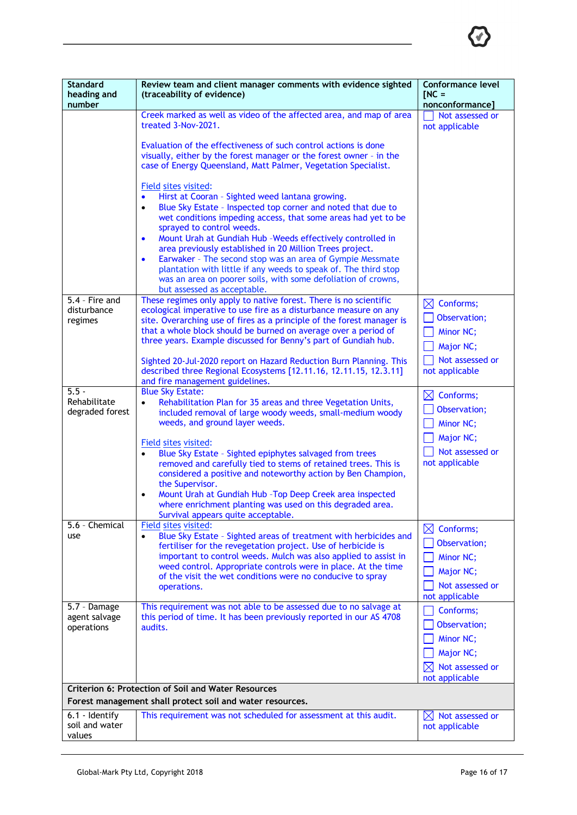| <b>Standard</b><br>heading and<br>number                   | Review team and client manager comments with evidence sighted<br>(traceability of evidence)                                                                                                                                                                                                                                                                                                                                                                                                                                                                                                                                                                                                                      | <b>Conformance level</b><br>$INC =$<br>nonconformance]                                                  |
|------------------------------------------------------------|------------------------------------------------------------------------------------------------------------------------------------------------------------------------------------------------------------------------------------------------------------------------------------------------------------------------------------------------------------------------------------------------------------------------------------------------------------------------------------------------------------------------------------------------------------------------------------------------------------------------------------------------------------------------------------------------------------------|---------------------------------------------------------------------------------------------------------|
|                                                            | Creek marked as well as video of the affected area, and map of area<br>treated 3-Nov-2021.<br>Evaluation of the effectiveness of such control actions is done<br>visually, either by the forest manager or the forest owner - in the<br>case of Energy Queensland, Matt Palmer, Vegetation Specialist.<br>Field sites visited:<br>Hirst at Cooran - Sighted weed lantana growing.<br>$\bullet$<br>Blue Sky Estate - Inspected top corner and noted that due to<br>$\bullet$<br>wet conditions impeding access, that some areas had yet to be<br>sprayed to control weeds.<br>Mount Urah at Gundiah Hub -Weeds effectively controlled in<br>$\bullet$<br>area previously established in 20 Million Trees project. | Not assessed or<br>not applicable                                                                       |
|                                                            | Earwaker - The second stop was an area of Gympie Messmate<br>$\bullet$<br>plantation with little if any weeds to speak of. The third stop<br>was an area on poorer soils, with some defoliation of crowns,<br>but assessed as acceptable.                                                                                                                                                                                                                                                                                                                                                                                                                                                                        |                                                                                                         |
| 5.4 - Fire and<br>disturbance<br>regimes                   | These regimes only apply to native forest. There is no scientific<br>ecological imperative to use fire as a disturbance measure on any<br>site. Overarching use of fires as a principle of the forest manager is<br>that a whole block should be burned on average over a period of<br>three years. Example discussed for Benny's part of Gundiah hub.<br>Sighted 20-Jul-2020 report on Hazard Reduction Burn Planning. This<br>described three Regional Ecosystems [12.11.16, 12.11.15, 12.3.11]<br>and fire management guidelines.                                                                                                                                                                             | $\boxtimes$ Conforms;<br>Observation;<br>Minor NC;<br>Major NC;<br>Not assessed or<br>not applicable    |
| $5.5 -$<br>Rehabilitate<br>degraded forest                 | <b>Blue Sky Estate:</b><br>Rehabilitation Plan for 35 areas and three Vegetation Units,<br>$\bullet$<br>included removal of large woody weeds, small-medium woody<br>weeds, and ground layer weeds.<br>Field sites visited:<br>Blue Sky Estate - Sighted epiphytes salvaged from trees<br>removed and carefully tied to stems of retained trees. This is<br>considered a positive and noteworthy action by Ben Champion,<br>the Supervisor.<br>Mount Urah at Gundiah Hub - Top Deep Creek area inspected<br>$\bullet$<br>where enrichment planting was used on this degraded area.<br>Survival appears quite acceptable.                                                                                         | $\boxtimes$<br>Conforms;<br>Observation;<br>Minor NC;<br>Major NC;<br>Not assessed or<br>not applicable |
| 5.6 - Chemical<br>use                                      | Field sites visited:<br>Blue Sky Estate - Sighted areas of treatment with herbicides and<br>$\bullet$<br>fertiliser for the revegetation project. Use of herbicide is<br>important to control weeds. Mulch was also applied to assist in<br>weed control. Appropriate controls were in place. At the time<br>of the visit the wet conditions were no conducive to spray<br>operations.                                                                                                                                                                                                                                                                                                                           | $\boxtimes$ Conforms;<br>Observation;<br>Minor NC;<br>Major NC;<br>Not assessed or<br>not applicable    |
| 5.7 - Damage<br>agent salvage<br>operations                | This requirement was not able to be assessed due to no salvage at<br>this period of time. It has been previously reported in our AS 4708<br>audits.                                                                                                                                                                                                                                                                                                                                                                                                                                                                                                                                                              | Conforms;<br>Observation;<br>Minor NC;<br>Major NC;<br>Not assessed or<br>$\bowtie$<br>not applicable   |
| <b>Criterion 6: Protection of Soil and Water Resources</b> |                                                                                                                                                                                                                                                                                                                                                                                                                                                                                                                                                                                                                                                                                                                  |                                                                                                         |
| 6.1 - Identify<br>soil and water                           | Forest management shall protect soil and water resources.<br>This requirement was not scheduled for assessment at this audit.                                                                                                                                                                                                                                                                                                                                                                                                                                                                                                                                                                                    | $\boxtimes$ Not assessed or<br>not applicable                                                           |
| values                                                     |                                                                                                                                                                                                                                                                                                                                                                                                                                                                                                                                                                                                                                                                                                                  |                                                                                                         |